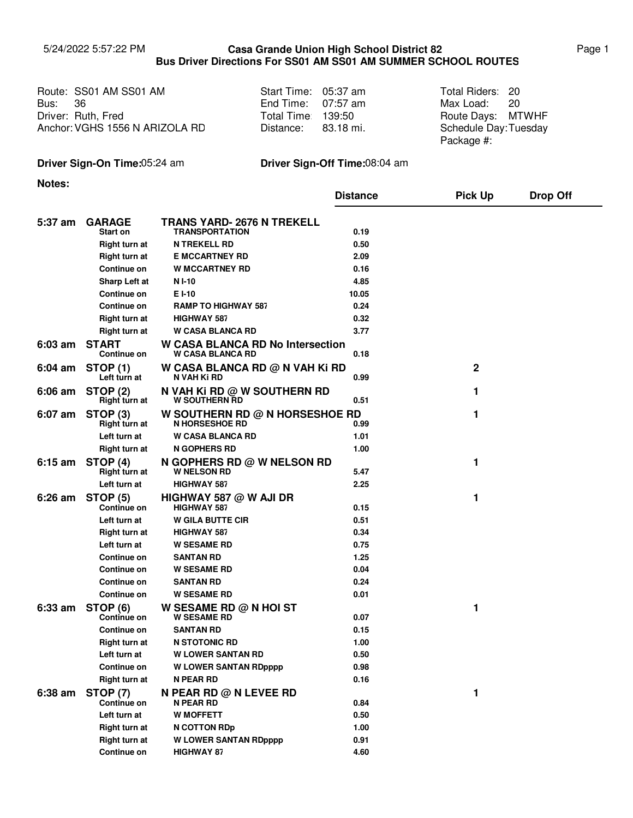## 5/24/2022 5:57:22 PM Page 1 **Casa Grande Union High School District 82 Bus Driver Directions For SS01 AM SS01 AM SUMMER SCHOOL ROUTES**

Route: SS01 AM SS01 AM Start Time: 05:37 am Total Riders: Bus: Driver: Ruth, Fred **Exercise State Days:** Total Time: 139:50 **Route Days:** Anchor: VGHS 1556 N ARIZOLA RD 36

| Start Time: | 05:37 am  |  |  |
|-------------|-----------|--|--|
| End Time:   | 07:57 am  |  |  |
| Total Time: | 139:50    |  |  |
| Distance:   | 83.18 mi. |  |  |

Max Load: Total Riders: 20 20 Route Days: MTWHF Schedule Day: Tuesday Package #:

## **Driver Sign-On Time:**05:24 am **Driver Sign-Off Time:**08:04 am

**Notes:**

|                   |                                      |                                                             | <b>Distance</b> | <b>Pick Up</b> | <b>Drop Off</b> |
|-------------------|--------------------------------------|-------------------------------------------------------------|-----------------|----------------|-----------------|
|                   |                                      |                                                             |                 |                |                 |
| 5:37 am           | <b>GARAGE</b>                        | TRANS YARD- 2676 N TREKELL<br><b>TRANSPORTATION</b>         |                 |                |                 |
|                   | Start on<br><b>Right turn at</b>     | <b>N TREKELL RD</b>                                         | 0.19<br>0.50    |                |                 |
|                   | Right turn at                        | <b>E MCCARTNEY RD</b>                                       | 2.09            |                |                 |
|                   | Continue on                          | <b>W MCCARTNEY RD</b>                                       | 0.16            |                |                 |
|                   |                                      |                                                             | 4.85            |                |                 |
|                   | Sharp Left at                        | N I-10                                                      |                 |                |                 |
|                   | Continue on                          | E I-10                                                      | 10.05           |                |                 |
|                   | Continue on                          | <b>RAMP TO HIGHWAY 587</b>                                  | 0.24            |                |                 |
|                   | <b>Right turn at</b>                 | <b>HIGHWAY 587</b>                                          | 0.32            |                |                 |
|                   | <b>Right turn at</b>                 | <b>W CASA BLANCA RD</b>                                     | 3.77            |                |                 |
| $6:03$ am         | <b>START</b><br>Continue on          | W CASA BLANCA RD No Intersection<br><b>W CASA BLANCA RD</b> | 0.18            |                |                 |
| $6:04 \text{ am}$ | <b>STOP (1)</b><br>Left turn at      | W CASA BLANCA RD @ N VAH Ki RD<br>N VAH KI RD               | 0.99            | $\mathbf{2}$   |                 |
| $6:06$ am         | <b>STOP (2)</b><br>Right turn at     | N VAH KI RD @ W SOUTHERN RD<br><b>W SOUTHERN RD</b>         | 0.51            | 1              |                 |
| 6:07 am           | STOP <sub>(3)</sub><br>Right turn at | W SOUTHERN RD @ N HORSESHOE RD<br><b>N HORSESHOE RD</b>     | 0.99            | 1              |                 |
|                   | Left turn at                         | <b>W CASA BLANCA RD</b>                                     | 1.01            |                |                 |
|                   | Right turn at                        | <b>N GOPHERS RD</b>                                         | 1.00            |                |                 |
| $6:15 \text{ am}$ | STOP (4)<br>Right turn at            | <b>N GOPHERS RD @ W NELSON RD</b><br><b>W NELSON RD</b>     | 5.47            | 1              |                 |
|                   | Left turn at                         | <b>HIGHWAY 587</b>                                          | 2.25            |                |                 |
| $6:26$ am         | <b>STOP (5)</b>                      | HIGHWAY 587 $@$ W AJI DR                                    |                 | 1              |                 |
|                   | <b>Continue on</b>                   | <b>HIGHWAY 587</b>                                          | 0.15            |                |                 |
|                   | Left turn at                         | <b>W GILA BUTTE CIR</b>                                     | 0.51            |                |                 |
|                   | <b>Right turn at</b>                 | <b>HIGHWAY 587</b>                                          | 0.34            |                |                 |
|                   | Left turn at                         | <b>W SESAME RD</b>                                          | 0.75            |                |                 |
|                   | Continue on                          | <b>SANTAN RD</b>                                            | 1.25            |                |                 |
|                   | Continue on                          | <b>W SESAME RD</b>                                          | 0.04            |                |                 |
|                   | Continue on                          | <b>SANTAN RD</b>                                            | 0.24            |                |                 |
|                   | Continue on                          | <b>W SESAME RD</b>                                          | 0.01            |                |                 |
| $6:33$ am         | <b>STOP (6)</b><br>Continue on       | W SESAME RD $@$ N HOI ST<br><b>W SESAME RD</b>              | 0.07            | 1              |                 |
|                   | Continue on                          | <b>SANTAN RD</b>                                            | 0.15            |                |                 |
|                   | <b>Right turn at</b>                 | <b>N STOTONIC RD</b>                                        | 1.00            |                |                 |
|                   | Left turn at                         | <b>W LOWER SANTAN RD</b>                                    | 0.50            |                |                 |
|                   | <b>Continue on</b>                   | <b>W LOWER SANTAN RDpppp</b>                                | 0.98            |                |                 |
|                   | Right turn at                        | <b>N PEAR RD</b>                                            | 0.16            |                |                 |
| 6:38 am           | <b>STOP (7)</b><br>Continue on       | N PEAR RD @ N LEVEE RD<br>N PEAR RD                         | 0.84            | 1              |                 |
|                   | Left turn at                         | <b>W MOFFETT</b>                                            | 0.50            |                |                 |
|                   | <b>Right turn at</b>                 | N COTTON RDp                                                | 1.00            |                |                 |
|                   | <b>Right turn at</b>                 | <b>W LOWER SANTAN RDpppp</b>                                | 0.91            |                |                 |
|                   | Continue on                          | <b>HIGHWAY 87</b>                                           | 4.60            |                |                 |